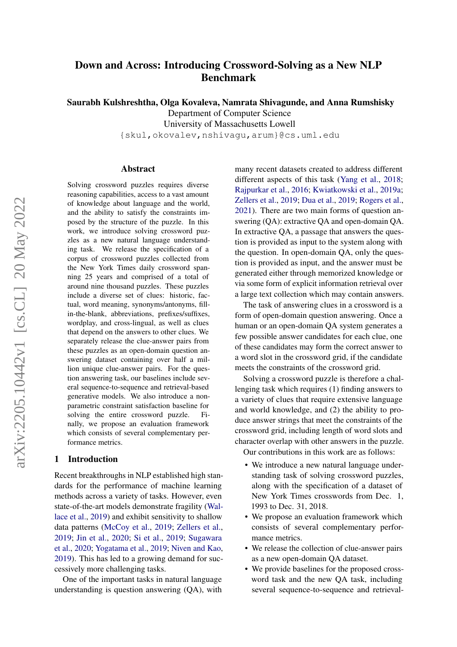# <span id="page-0-0"></span>Down and Across: Introducing Crossword-Solving as a New NLP Benchmark

Saurabh Kulshreshtha, Olga Kovaleva, Namrata Shivagunde, and Anna Rumshisky

Department of Computer Science

University of Massachusetts Lowell

{skul,okovalev,nshivagu,arum}@cs.uml.edu

#### Abstract

Solving crossword puzzles requires diverse reasoning capabilities, access to a vast amount of knowledge about language and the world, and the ability to satisfy the constraints imposed by the structure of the puzzle. In this work, we introduce solving crossword puzzles as a new natural language understanding task. We release the specification of a corpus of crossword puzzles collected from the New York Times daily crossword spanning 25 years and comprised of a total of around nine thousand puzzles. These puzzles include a diverse set of clues: historic, factual, word meaning, synonyms/antonyms, fillin-the-blank, abbreviations, prefixes/suffixes, wordplay, and cross-lingual, as well as clues that depend on the answers to other clues. We separately release the clue-answer pairs from these puzzles as an open-domain question answering dataset containing over half a million unique clue-answer pairs. For the question answering task, our baselines include several sequence-to-sequence and retrieval-based generative models. We also introduce a nonparametric constraint satisfaction baseline for solving the entire crossword puzzle. Finally, we propose an evaluation framework which consists of several complementary performance metrics.

# 1 Introduction

Recent breakthroughs in NLP established high standards for the performance of machine learning methods across a variety of tasks. However, even state-of-the-art models demonstrate fragility [\(Wal](#page-10-0)[lace et al.,](#page-10-0) [2019\)](#page-10-0) and exhibit sensitivity to shallow data patterns [\(McCoy et al.,](#page-10-1) [2019;](#page-10-1) [Zellers et al.,](#page-11-0) [2019;](#page-11-0) [Jin et al.,](#page-9-0) [2020;](#page-9-0) [Si et al.,](#page-10-2) [2019;](#page-10-2) [Sugawara](#page-10-3) [et al.,](#page-10-3) [2020;](#page-10-3) [Yogatama et al.,](#page-11-1) [2019;](#page-11-1) [Niven and Kao,](#page-10-4) [2019\)](#page-10-4). This has led to a growing demand for successively more challenging tasks.

One of the important tasks in natural language understanding is question answering (QA), with many recent datasets created to address different different aspects of this task [\(Yang et al.,](#page-10-5) [2018;](#page-10-5) [Rajpurkar et al.,](#page-10-6) [2016;](#page-10-6) [Kwiatkowski et al.,](#page-9-1) [2019a;](#page-9-1) [Zellers et al.,](#page-11-0) [2019;](#page-11-0) [Dua et al.,](#page-9-2) [2019;](#page-9-2) [Rogers et al.,](#page-10-7) [2021\)](#page-10-7). There are two main forms of question answering (QA): extractive QA and open-domain QA. In extractive QA, a passage that answers the question is provided as input to the system along with the question. In open-domain QA, only the question is provided as input, and the answer must be generated either through memorized knowledge or via some form of explicit information retrieval over a large text collection which may contain answers.

The task of answering clues in a crossword is a form of open-domain question answering. Once a human or an open-domain QA system generates a few possible answer candidates for each clue, one of these candidates may form the correct answer to a word slot in the crossword grid, if the candidate meets the constraints of the crossword grid.

Solving a crossword puzzle is therefore a challenging task which requires (1) finding answers to a variety of clues that require extensive language and world knowledge, and (2) the ability to produce answer strings that meet the constraints of the crossword grid, including length of word slots and character overlap with other answers in the puzzle.

Our contributions in this work are as follows:

- We introduce a new natural language understanding task of solving crossword puzzles, along with the specification of a dataset of New York Times crosswords from Dec. 1, 1993 to Dec. 31, 2018.
- We propose an evaluation framework which consists of several complementary performance metrics.
- We release the collection of clue-answer pairs as a new open-domain QA dataset.
- We provide baselines for the proposed crossword task and the new QA task, including several sequence-to-sequence and retrieval-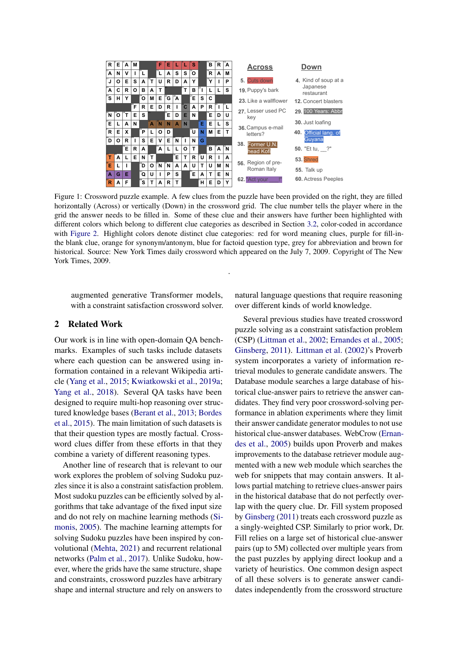<span id="page-1-0"></span>

Figure 1: Crossword puzzle example. A few clues from the puzzle have been provided on the right, they are filled horizontally (Across) or vertically (Down) in the crossword grid. The clue number tells the player where in the grid the answer needs to be filled in. Some of these clue and their answers have further been highlighted with different colors which belong to different clue categories as described in Section [3.2,](#page-3-0) color-coded in accordance with [Figure 2.](#page-4-0) Highlight colors denote distinct clue categories: red for word meaning clues, purple for fill-inthe blank clue, orange for synonym/antonym, blue for factoid question type, grey for abbreviation and brown for historical. Source: New York Times daily crossword which appeared on the July 7, 2009. Copyright of The New York Times, 2009.

.

augmented generative Transformer models, with a constraint satisfaction crossword solver.

# 2 Related Work

Our work is in line with open-domain QA benchmarks. Examples of such tasks include datasets where each question can be answered using information contained in a relevant Wikipedia article [\(Yang et al.,](#page-10-8) [2015;](#page-10-8) [Kwiatkowski et al.,](#page-9-1) [2019a;](#page-9-1) [Yang et al.,](#page-10-5) [2018\)](#page-10-5). Several QA tasks have been designed to require multi-hop reasoning over structured knowledge bases [\(Berant et al.,](#page-9-3) [2013;](#page-9-3) [Bordes](#page-9-4) [et al.,](#page-9-4) [2015\)](#page-9-4). The main limitation of such datasets is that their question types are mostly factual. Crossword clues differ from these efforts in that they combine a variety of different reasoning types.

Another line of research that is relevant to our work explores the problem of solving Sudoku puzzles since it is also a constraint satisfaction problem. Most sudoku puzzles can be efficiently solved by algorithms that take advantage of the fixed input size and do not rely on machine learning methods [\(Si](#page-10-9)[monis,](#page-10-9) [2005\)](#page-10-9). The machine learning attempts for solving Sudoku puzzles have been inspired by convolutional [\(Mehta,](#page-10-10) [2021\)](#page-10-10) and recurrent relational networks [\(Palm et al.,](#page-10-11) [2017\)](#page-10-11). Unlike Sudoku, however, where the grids have the same structure, shape and constraints, crossword puzzles have arbitrary shape and internal structure and rely on answers to

natural language questions that require reasoning over different kinds of world knowledge.

Several previous studies have treated crossword puzzle solving as a constraint satisfaction problem (CSP) [\(Littman et al.,](#page-10-12) [2002;](#page-10-12) [Ernandes et al.,](#page-9-5) [2005;](#page-9-5) [Ginsberg,](#page-9-6) [2011\)](#page-9-6). [Littman et al.](#page-10-12) [\(2002\)](#page-10-12)'s Proverb system incorporates a variety of information retrieval modules to generate candidate answers. The Database module searches a large database of historical clue-answer pairs to retrieve the answer candidates. They find very poor crossword-solving performance in ablation experiments where they limit their answer candidate generator modules to not use historical clue-answer databases. WebCrow [\(Ernan](#page-9-5)[des et al.,](#page-9-5) [2005\)](#page-9-5) builds upon Proverb and makes improvements to the database retriever module augmented with a new web module which searches the web for snippets that may contain answers. It allows partial matching to retrieve clues-answer pairs in the historical database that do not perfectly overlap with the query clue. Dr. Fill system proposed by [Ginsberg](#page-9-6) [\(2011\)](#page-9-6) treats each crossword puzzle as a singly-weighted CSP. Similarly to prior work, Dr. Fill relies on a large set of historical clue-answer pairs (up to 5M) collected over multiple years from the past puzzles by applying direct lookup and a variety of heuristics. One common design aspect of all these solvers is to generate answer candidates independently from the crossword structure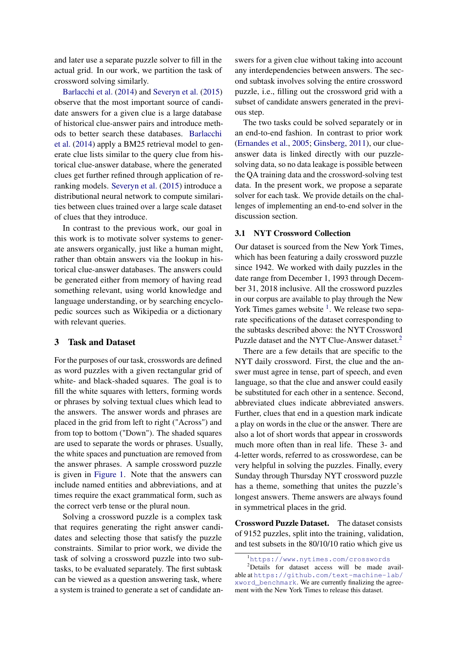and later use a separate puzzle solver to fill in the actual grid. In our work, we partition the task of crossword solving similarly.

[Barlacchi et al.](#page-9-7) [\(2014\)](#page-9-7) and [Severyn et al.](#page-10-13) [\(2015\)](#page-10-13) observe that the most important source of candidate answers for a given clue is a large database of historical clue-answer pairs and introduce methods to better search these databases. [Barlacchi](#page-9-7) [et al.](#page-9-7) [\(2014\)](#page-9-7) apply a BM25 retrieval model to generate clue lists similar to the query clue from historical clue-answer database, where the generated clues get further refined through application of reranking models. [Severyn et al.](#page-10-13) [\(2015\)](#page-10-13) introduce a distributional neural network to compute similarities between clues trained over a large scale dataset of clues that they introduce.

In contrast to the previous work, our goal in this work is to motivate solver systems to generate answers organically, just like a human might, rather than obtain answers via the lookup in historical clue-answer databases. The answers could be generated either from memory of having read something relevant, using world knowledge and language understanding, or by searching encyclopedic sources such as Wikipedia or a dictionary with relevant queries.

# 3 Task and Dataset

For the purposes of our task, crosswords are defined as word puzzles with a given rectangular grid of white- and black-shaded squares. The goal is to fill the white squares with letters, forming words or phrases by solving textual clues which lead to the answers. The answer words and phrases are placed in the grid from left to right ("Across") and from top to bottom ("Down"). The shaded squares are used to separate the words or phrases. Usually, the white spaces and punctuation are removed from the answer phrases. A sample crossword puzzle is given in [Figure 1.](#page-1-0) Note that the answers can include named entities and abbreviations, and at times require the exact grammatical form, such as the correct verb tense or the plural noun.

Solving a crossword puzzle is a complex task that requires generating the right answer candidates and selecting those that satisfy the puzzle constraints. Similar to prior work, we divide the task of solving a crossword puzzle into two subtasks, to be evaluated separately. The first subtask can be viewed as a question answering task, where a system is trained to generate a set of candidate answers for a given clue without taking into account any interdependencies between answers. The second subtask involves solving the entire crossword puzzle, i.e., filling out the crossword grid with a subset of candidate answers generated in the previous step.

The two tasks could be solved separately or in an end-to-end fashion. In contrast to prior work [\(Ernandes et al.,](#page-9-5) [2005;](#page-9-5) [Ginsberg,](#page-9-6) [2011\)](#page-9-6), our clueanswer data is linked directly with our puzzlesolving data, so no data leakage is possible between the QA training data and the crossword-solving test data. In the present work, we propose a separate solver for each task. We provide details on the challenges of implementing an end-to-end solver in the discussion section.

# 3.1 NYT Crossword Collection

Our dataset is sourced from the New York Times, which has been featuring a daily crossword puzzle since 1942. We worked with daily puzzles in the date range from December 1, 1993 through December 31, 2018 inclusive. All the crossword puzzles in our corpus are available to play through the New York Times games website <sup>[1](#page-0-0)</sup>. We release two separate specifications of the dataset corresponding to the subtasks described above: the NYT Crossword Puzzle dataset and the NYT Clue-Answer dataset.<sup>[2](#page-0-0)</sup>

There are a few details that are specific to the NYT daily crossword. First, the clue and the answer must agree in tense, part of speech, and even language, so that the clue and answer could easily be substituted for each other in a sentence. Second, abbreviated clues indicate abbreviated answers. Further, clues that end in a question mark indicate a play on words in the clue or the answer. There are also a lot of short words that appear in crosswords much more often than in real life. These 3- and 4-letter words, referred to as crosswordese, can be very helpful in solving the puzzles. Finally, every Sunday through Thursday NYT crossword puzzle has a theme, something that unites the puzzle's longest answers. Theme answers are always found in symmetrical places in the grid.

Crossword Puzzle Dataset. The dataset consists of 9152 puzzles, split into the training, validation, and test subsets in the 80/10/10 ratio which give us

<sup>1</sup><https://www.nytimes.com/crosswords>

<sup>2</sup>Details for dataset access will be made available at [https://github.com/text-machine-lab/](https://github.com/text-machine-lab/xword_benchmark) [xword\\_benchmark](https://github.com/text-machine-lab/xword_benchmark). We are currently finalizing the agreement with the New York Times to release this dataset.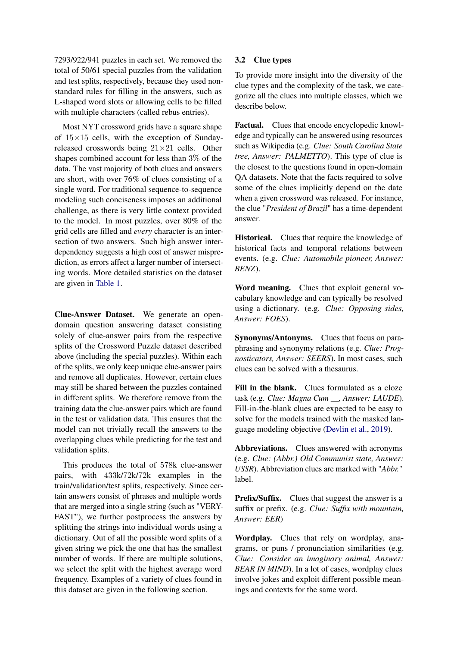7293/922/941 puzzles in each set. We removed the total of 50/61 special puzzles from the validation and test splits, respectively, because they used nonstandard rules for filling in the answers, such as L-shaped word slots or allowing cells to be filled with multiple characters (called rebus entries).

Most NYT crossword grids have a square shape of  $15\times15$  cells, with the exception of Sundayreleased crosswords being 21×21 cells. Other shapes combined account for less than 3% of the data. The vast majority of both clues and answers are short, with over 76% of clues consisting of a single word. For traditional sequence-to-sequence modeling such conciseness imposes an additional challenge, as there is very little context provided to the model. In most puzzles, over 80% of the grid cells are filled and *every* character is an intersection of two answers. Such high answer interdependency suggests a high cost of answer misprediction, as errors affect a larger number of intersecting words. More detailed statistics on the dataset are given in [Table 1.](#page-4-1)

Clue-Answer Dataset. We generate an opendomain question answering dataset consisting solely of clue-answer pairs from the respective splits of the Crossword Puzzle dataset described above (including the special puzzles). Within each of the splits, we only keep unique clue-answer pairs and remove all duplicates. However, certain clues may still be shared between the puzzles contained in different splits. We therefore remove from the training data the clue-answer pairs which are found in the test or validation data. This ensures that the model can not trivially recall the answers to the overlapping clues while predicting for the test and validation splits.

This produces the total of 578k clue-answer pairs, with 433k/72k/72k examples in the train/validation/test splits, respectively. Since certain answers consist of phrases and multiple words that are merged into a single string (such as "VERY-FAST"), we further postprocess the answers by splitting the strings into individual words using a dictionary. Out of all the possible word splits of a given string we pick the one that has the smallest number of words. If there are multiple solutions, we select the split with the highest average word frequency. Examples of a variety of clues found in this dataset are given in the following section.

# <span id="page-3-0"></span>3.2 Clue types

To provide more insight into the diversity of the clue types and the complexity of the task, we categorize all the clues into multiple classes, which we describe below.

Factual. Clues that encode encyclopedic knowledge and typically can be answered using resources such as Wikipedia (e.g. *Clue: South Carolina State tree, Answer: PALMETTO*). This type of clue is the closest to the questions found in open-domain QA datasets. Note that the facts required to solve some of the clues implicitly depend on the date when a given crossword was released. For instance, the clue "*President of Brazil*" has a time-dependent answer.

Historical. Clues that require the knowledge of historical facts and temporal relations between events. (e.g. *Clue: Automobile pioneer, Answer: BENZ*).

Word meaning. Clues that exploit general vocabulary knowledge and can typically be resolved using a dictionary. (e.g. *Clue: Opposing sides, Answer: FOES*).

Synonyms/Antonyms. Clues that focus on paraphrasing and synonymy relations (e.g. *Clue: Prognosticators, Answer: SEERS*). In most cases, such clues can be solved with a thesaurus.

Fill in the blank. Clues formulated as a cloze task (e.g. *Clue: Magna Cum \_\_, Answer: LAUDE*). Fill-in-the-blank clues are expected to be easy to solve for the models trained with the masked language modeling objective [\(Devlin et al.,](#page-9-8) [2019\)](#page-9-8).

Abbreviations. Clues answered with acronyms (e.g. *Clue: (Abbr.) Old Communist state, Answer: USSR*). Abbreviation clues are marked with "*Abbr.*" label.

Prefix/Suffix. Clues that suggest the answer is a suffix or prefix. (e.g. *Clue: Suffix with mountain, Answer: EER*)

Wordplay. Clues that rely on wordplay, anagrams, or puns / pronunciation similarities (e.g. *Clue: Consider an imaginary animal, Answer: BEAR IN MIND*). In a lot of cases, wordplay clues involve jokes and exploit different possible meanings and contexts for the same word.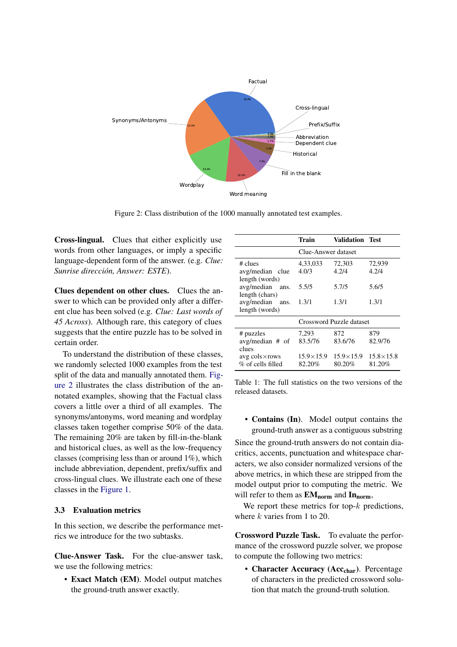<span id="page-4-0"></span>

Figure 2: Class distribution of the 1000 manually annotated test examples.

Cross-lingual. Clues that either explicitly use words from other languages, or imply a specific language-dependent form of the answer. (e.g. *Clue: Sunrise dirección, Answer: ESTE*).

Clues dependent on other clues. Clues the answer to which can be provided only after a different clue has been solved (e.g. *Clue: Last words of 45 Across*). Although rare, this category of clues suggests that the entire puzzle has to be solved in certain order.

To understand the distribution of these classes, we randomly selected 1000 examples from the test split of the data and manually annotated them. [Fig](#page-4-0)[ure 2](#page-4-0) illustrates the class distribution of the annotated examples, showing that the Factual class covers a little over a third of all examples. The synonyms/antonyms, word meaning and wordplay classes taken together comprise 50% of the data. The remaining 20% are taken by fill-in-the-blank and historical clues, as well as the low-frequency classes (comprising less than or around 1%), which include abbreviation, dependent, prefix/suffix and cross-lingual clues. We illustrate each one of these classes in the [Figure 1.](#page-1-0)

# <span id="page-4-2"></span>3.3 Evaluation metrics

In this section, we describe the performance metrics we introduce for the two subtasks.

Clue-Answer Task. For the clue-answer task, we use the following metrics:

• Exact Match (EM). Model output matches the ground-truth answer exactly.

<span id="page-4-1"></span>

|                                                | Train                        | <b>Validation Test</b>       |                              |  |  |  |  |
|------------------------------------------------|------------------------------|------------------------------|------------------------------|--|--|--|--|
|                                                |                              | Clue-Answer dataset          |                              |  |  |  |  |
| $#$ clues<br>avg/median clue<br>length (words) | 4,33,033<br>4.0/3            | 72,303<br>4.2/4              | 72,939<br>4.2/4              |  |  |  |  |
| avg/median<br>ans.<br>length (chars)           | 5.5/5                        | 5.7/5                        | 5.6/5                        |  |  |  |  |
| avg/median ans.<br>length (words)              | 1.3/1                        | 1.3/1                        | 1.3/1                        |  |  |  |  |
|                                                | Crossword Puzzle dataset     |                              |                              |  |  |  |  |
| # puzzles<br>$avg/median \#$ of<br>clues       | 7,293<br>83.5/76             | 872.<br>83.6/76              | 879<br>82.9/76               |  |  |  |  |
| avg cols $\times$ rows<br>% of cells filled    | $15.9 \times 15.9$<br>82.20% | $15.9 \times 15.9$<br>80.20% | $15.8 \times 15.8$<br>81.20% |  |  |  |  |

Table 1: The full statistics on the two versions of the released datasets.

• Contains (In). Model output contains the ground-truth answer as a contiguous substring

Since the ground-truth answers do not contain diacritics, accents, punctuation and whitespace characters, we also consider normalized versions of the above metrics, in which these are stripped from the model output prior to computing the metric. We will refer to them as  $EM_{norm}$  and  $In_{norm}$ ,

We report these metrics for top- $k$  predictions, where  $k$  varies from 1 to 20.

Crossword Puzzle Task. To evaluate the performance of the crossword puzzle solver, we propose to compute the following two metrics:

• Character Accuracy (Acc<sub>char</sub>). Percentage of characters in the predicted crossword solution that match the ground-truth solution.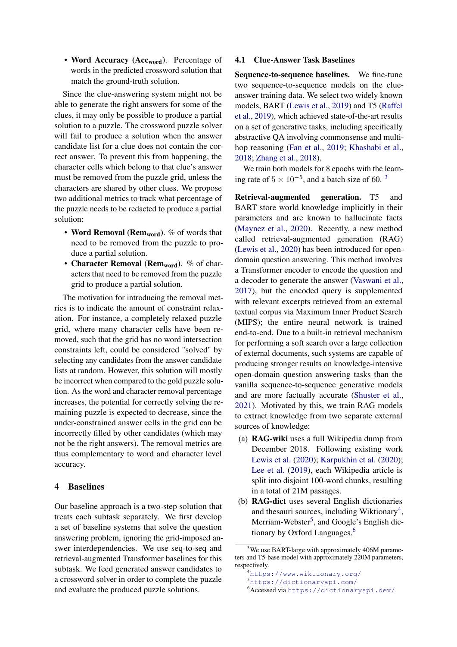• Word Accuracy (Acc<sub>word</sub>). Percentage of words in the predicted crossword solution that match the ground-truth solution.

Since the clue-answering system might not be able to generate the right answers for some of the clues, it may only be possible to produce a partial solution to a puzzle. The crossword puzzle solver will fail to produce a solution when the answer candidate list for a clue does not contain the correct answer. To prevent this from happening, the character cells which belong to that clue's answer must be removed from the puzzle grid, unless the characters are shared by other clues. We propose two additional metrics to track what percentage of the puzzle needs to be redacted to produce a partial solution:

- Word Removal (Rem<sub>word</sub>). % of words that need to be removed from the puzzle to produce a partial solution.
- Character Removal (Rem<sub>word</sub>). % of characters that need to be removed from the puzzle grid to produce a partial solution.

The motivation for introducing the removal metrics is to indicate the amount of constraint relaxation. For instance, a completely relaxed puzzle grid, where many character cells have been removed, such that the grid has no word intersection constraints left, could be considered "solved" by selecting any candidates from the answer candidate lists at random. However, this solution will mostly be incorrect when compared to the gold puzzle solution. As the word and character removal percentage increases, the potential for correctly solving the remaining puzzle is expected to decrease, since the under-constrained answer cells in the grid can be incorrectly filled by other candidates (which may not be the right answers). The removal metrics are thus complementary to word and character level accuracy.

# 4 Baselines

Our baseline approach is a two-step solution that treats each subtask separately. We first develop a set of baseline systems that solve the question answering problem, ignoring the grid-imposed answer interdependencies. We use seq-to-seq and retrieval-augmented Transformer baselines for this subtask. We feed generated answer candidates to a crossword solver in order to complete the puzzle and evaluate the produced puzzle solutions.

#### 4.1 Clue-Answer Task Baselines

Sequence-to-sequence baselines. We fine-tune two sequence-to-sequence models on the clueanswer training data. We select two widely known models, BART [\(Lewis et al.,](#page-9-9) [2019\)](#page-9-9) and T5 [\(Raffel](#page-10-14) [et al.,](#page-10-14) [2019\)](#page-10-14), which achieved state-of-the-art results on a set of generative tasks, including specifically abstractive QA involving commonsense and multihop reasoning [\(Fan et al.,](#page-9-10) [2019;](#page-9-10) [Khashabi et al.,](#page-9-11) [2018;](#page-9-11) [Zhang et al.,](#page-11-2) [2018\)](#page-11-2).

We train both models for 8 epochs with the learning rate of  $5 \times 10^{-5}$ , and a batch size of 60. <sup>[3](#page-0-0)</sup>

Retrieval-augmented generation. T5 and BART store world knowledge implicitly in their parameters and are known to hallucinate facts [\(Maynez et al.,](#page-10-15) [2020\)](#page-10-15). Recently, a new method called retrieval-augmented generation (RAG) [\(Lewis et al.,](#page-9-12) [2020\)](#page-9-12) has been introduced for opendomain question answering. This method involves a Transformer encoder to encode the question and a decoder to generate the answer [\(Vaswani et al.,](#page-10-16) [2017\)](#page-10-16), but the encoded query is supplemented with relevant excerpts retrieved from an external textual corpus via Maximum Inner Product Search (MIPS); the entire neural network is trained end-to-end. Due to a built-in retrieval mechanism for performing a soft search over a large collection of external documents, such systems are capable of producing stronger results on knowledge-intensive open-domain question answering tasks than the vanilla sequence-to-sequence generative models and are more factually accurate [\(Shuster et al.,](#page-10-17) [2021\)](#page-10-17). Motivated by this, we train RAG models to extract knowledge from two separate external sources of knowledge:

- (a) RAG-wiki uses a full Wikipedia dump from December 2018. Following existing work [Lewis et al.](#page-9-12) [\(2020\)](#page-9-12); [Karpukhin et al.](#page-9-13) [\(2020\)](#page-9-13); [Lee et al.](#page-9-14) [\(2019\)](#page-9-14), each Wikipedia article is split into disjoint 100-word chunks, resulting in a total of 21M passages.
- (b) RAG-dict uses several English dictionaries and thesauri sources, including Wiktionary<sup>[4](#page-0-0)</sup>, Merriam-Webster<sup>[5](#page-0-0)</sup>, and Google's English dic-tionary by Oxford Languages.<sup>[6](#page-0-0)</sup>

 $3$ We use BART-large with approximately 406M parameters and T5-base model with approximately 220M parameters, respectively.

<sup>4</sup><https://www.wiktionary.org/>

<sup>5</sup><https://dictionaryapi.com/>

<sup>6</sup>Accessed via <https://dictionaryapi.dev/>.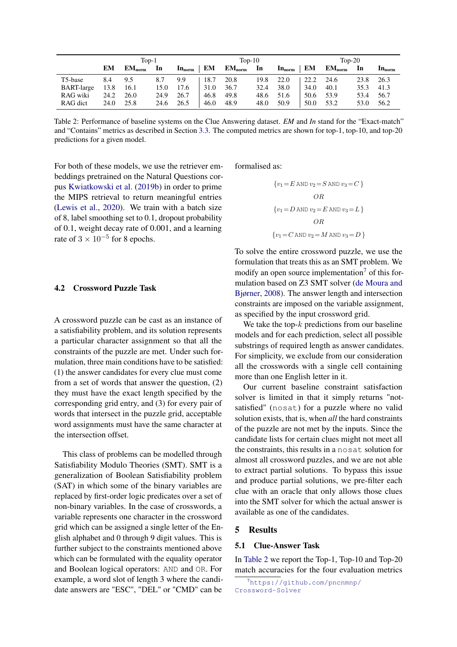<span id="page-6-0"></span>

|                   | $Top-1$ |                             |      | $Top-10$                      |      |             | $Top-20$ |                               |      |                    |      |                             |
|-------------------|---------|-----------------------------|------|-------------------------------|------|-------------|----------|-------------------------------|------|--------------------|------|-----------------------------|
|                   | EM      | $\mathbf{EM}_{\text{norm}}$ | In   | $\mathbf{In}_{\mathrm{norm}}$ | EM   | $EM_{norm}$ | - In     | $\mathbf{In}_{\mathrm{norm}}$ | EМ   | EM <sub>norm</sub> | In   | $\mathbf{ln}_{\text{norm}}$ |
| T5-base           | 8.4     | 9.5                         | 8.7  | 9.9                           | 18.7 | 20.8        | 19.8     | 22.0                          | 22.2 | 24.6               | 23.8 | 26.3                        |
| <b>BART-large</b> | 13.8    | 16.1                        | 15.0 | 17.6                          | 31.0 | 36.7        | 32.4     | 38.0                          | 34.0 | 40.1               | 35.3 | 41.3                        |
| RAG wiki          | 24.2    | 26.0                        | 24.9 | 26.7                          | 46.8 | 49.8        | 48.6     | 51.6                          | 50.6 | 53.9               | 53.4 | 56.7                        |
| RAG dict          | 24.0    | 25.8                        | 24.6 | 26.5                          | 46.0 | 48.9        | 48.0     | 50.9                          | 50.0 | 53.2               | 53.0 | 56.2                        |

Table 2: Performance of baseline systems on the Clue Answering dataset. *EM* and *In* stand for the "Exact-match" and "Contains" metrics as described in Section [3.3.](#page-4-2) The computed metrics are shown for top-1, top-10, and top-20 predictions for a given model.

For both of these models, we use the retriever embeddings pretrained on the Natural Questions corpus [Kwiatkowski et al.](#page-9-15) [\(2019b\)](#page-9-15) in order to prime the MIPS retrieval to return meaningful entries [\(Lewis et al.,](#page-9-12) [2020\)](#page-9-12). We train with a batch size of 8, label smoothing set to 0.1, dropout probability of 0.1, weight decay rate of 0.001, and a learning rate of  $3 \times 10^{-5}$  for 8 epochs.

#### <span id="page-6-1"></span>4.2 Crossword Puzzle Task

A crossword puzzle can be cast as an instance of a satisfiability problem, and its solution represents a particular character assignment so that all the constraints of the puzzle are met. Under such formulation, three main conditions have to be satisfied: (1) the answer candidates for every clue must come from a set of words that answer the question, (2) they must have the exact length specified by the corresponding grid entry, and (3) for every pair of words that intersect in the puzzle grid, acceptable word assignments must have the same character at the intersection offset.

This class of problems can be modelled through Satisfiability Modulo Theories (SMT). SMT is a generalization of Boolean Satisfiability problem (SAT) in which some of the binary variables are replaced by first-order logic predicates over a set of non-binary variables. In the case of crosswords, a variable represents one character in the crossword grid which can be assigned a single letter of the English alphabet and 0 through 9 digit values. This is further subject to the constraints mentioned above which can be formulated with the equality operator and Boolean logical operators: AND and OR. For example, a word slot of length 3 where the candidate answers are "ESC", "DEL" or "CMD" can be

formalised as:

$$
\{v_1 = E \text{ AND } v_2 = S \text{ AND } v_3 = C\}
$$
  

$$
OR
$$
  

$$
\{v_1 = D \text{ AND } v_2 = E \text{ AND } v_3 = L\}
$$
  

$$
OR
$$
  

$$
\{v_1 = C \text{ AND } v_2 = M \text{ AND } v_3 = D\}
$$

To solve the entire crossword puzzle, we use the formulation that treats this as an SMT problem. We modify an open source implementation<sup>[7](#page-0-0)</sup> of this formulation based on Z3 SMT solver [\(de Moura and](#page-9-16) [Bjørner,](#page-9-16) [2008\)](#page-9-16). The answer length and intersection constraints are imposed on the variable assignment, as specified by the input crossword grid.

We take the top- $k$  predictions from our baseline models and for each prediction, select all possible substrings of required length as answer candidates. For simplicity, we exclude from our consideration all the crosswords with a single cell containing more than one English letter in it.

Our current baseline constraint satisfaction solver is limited in that it simply returns "notsatisfied" (nosat) for a puzzle where no valid solution exists, that is, when *all* the hard constraints of the puzzle are not met by the inputs. Since the candidate lists for certain clues might not meet all the constraints, this results in a nosat solution for almost all crossword puzzles, and we are not able to extract partial solutions. To bypass this issue and produce partial solutions, we pre-filter each clue with an oracle that only allows those clues into the SMT solver for which the actual answer is available as one of the candidates.

#### 5 Results

#### 5.1 Clue-Answer Task

In [Table 2](#page-6-0) we report the Top-1, Top-10 and Top-20 match accuracies for the four evaluation metrics

```
https://github.com/pncnmnp/
Crossword-Solver
```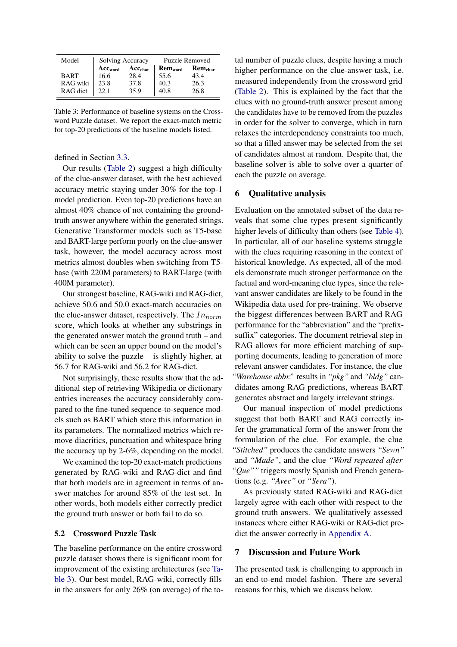<span id="page-7-0"></span>

| Model       | Solving Accuracy               |      | <b>Puzzle Removed</b> |         |  |
|-------------|--------------------------------|------|-----------------------|---------|--|
|             | Acc <sub>char</sub><br>Accword |      | <b>Remword</b>        | Remchar |  |
| <b>BART</b> | 16.6                           | 28.4 | 55.6                  | 43.4    |  |
| RAG wiki    | 23.8                           | 37.8 | 40.3                  | 26.3    |  |
| RAG dict    | 22.1                           | 35.9 | 40.8                  | 26.8    |  |

Table 3: Performance of baseline systems on the Crossword Puzzle dataset. We report the exact-match metric for top-20 predictions of the baseline models listed.

defined in Section [3.3.](#page-4-2)

Our results [\(Table 2\)](#page-6-0) suggest a high difficulty of the clue-answer dataset, with the best achieved accuracy metric staying under 30% for the top-1 model prediction. Even top-20 predictions have an almost 40% chance of not containing the groundtruth answer anywhere within the generated strings. Generative Transformer models such as T5-base and BART-large perform poorly on the clue-answer task, however, the model accuracy across most metrics almost doubles when switching from T5 base (with 220M parameters) to BART-large (with 400M parameter).

Our strongest baseline, RAG-wiki and RAG-dict, achieve 50.6 and 50.0 exact-match accuracies on the clue-answer dataset, respectively. The  $In_{norm}$ score, which looks at whether any substrings in the generated answer match the ground truth – and which can be seen an upper bound on the model's ability to solve the puzzle – is slightly higher, at 56.7 for RAG-wiki and 56.2 for RAG-dict.

Not surprisingly, these results show that the additional step of retrieving Wikipedia or dictionary entries increases the accuracy considerably compared to the fine-tuned sequence-to-sequence models such as BART which store this information in its parameters. The normalized metrics which remove diacritics, punctuation and whitespace bring the accuracy up by 2-6%, depending on the model.

We examined the top-20 exact-match predictions generated by RAG-wiki and RAG-dict and find that both models are in agreement in terms of answer matches for around 85% of the test set. In other words, both models either correctly predict the ground truth answer or both fail to do so.

# 5.2 Crossword Puzzle Task

The baseline performance on the entire crossword puzzle dataset shows there is significant room for improvement of the existing architectures (see [Ta](#page-7-0)[ble 3\)](#page-7-0). Our best model, RAG-wiki, correctly fills in the answers for only 26% (on average) of the total number of puzzle clues, despite having a much higher performance on the clue-answer task, i.e. measured independently from the crossword grid [\(Table 2\)](#page-6-0). This is explained by the fact that the clues with no ground-truth answer present among the candidates have to be removed from the puzzles in order for the solver to converge, which in turn relaxes the interdependency constraints too much, so that a filled answer may be selected from the set of candidates almost at random. Despite that, the baseline solver is able to solve over a quarter of each the puzzle on average.

# 6 Qualitative analysis

Evaluation on the annotated subset of the data reveals that some clue types present significantly higher levels of difficulty than others (see [Table 4\)](#page-8-0). In particular, all of our baseline systems struggle with the clues requiring reasoning in the context of historical knowledge. As expected, all of the models demonstrate much stronger performance on the factual and word-meaning clue types, since the relevant answer candidates are likely to be found in the Wikipedia data used for pre-training. We observe the biggest differences between BART and RAG performance for the "abbreviation" and the "prefixsuffix" categories. The document retrieval step in RAG allows for more efficient matching of supporting documents, leading to generation of more relevant answer candidates. For instance, the clue *"Warehouse abbr."* results in *"pkg"* and *"bldg"* candidates among RAG predictions, whereas BART generates abstract and largely irrelevant strings.

Our manual inspection of model predictions suggest that both BART and RAG correctly infer the grammatical form of the answer from the formulation of the clue. For example, the clue *"Stitched"* produces the candidate answers *"Sewn"* and *"Made"*, and the clue *"Word repeated after "Que""* triggers mostly Spanish and French generations (e.g. *"Avec"* or *"Sera"*).

As previously stated RAG-wiki and RAG-dict largely agree with each other with respect to the ground truth answers. We qualitatively assessed instances where either RAG-wiki or RAG-dict predict the answer correctly in [Appendix A.](#page-11-3)

# 7 Discussion and Future Work

The presented task is challenging to approach in an end-to-end model fashion. There are several reasons for this, which we discuss below.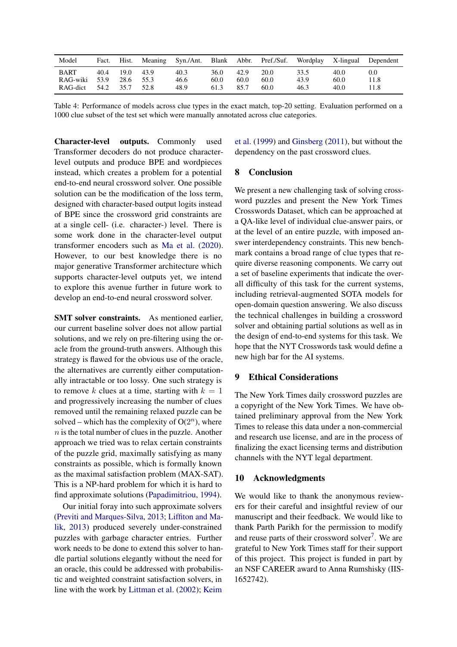<span id="page-8-0"></span>

| Model       | Fact. | Hist. | Meaning | Syn./Ant. | Blank | Abbr. | Pref./Suf. | Wordplay | X-lingual | Dependent |
|-------------|-------|-------|---------|-----------|-------|-------|------------|----------|-----------|-----------|
| <b>BART</b> | 40.4  | 19.0  | 43.9    | 40.3      | 36.0  | 42.9  | 20.0       | 33.5     | 40.0      | $0.0\,$   |
| RAG-wiki    | 53.9  | 28.6  | 55.3    | 46.6      | 60.0  | 60.0  | 60.0       | 43.9     | 60.0      | 11.8      |
| RAG-dict    | 54.2  | 35.7  | 52.8    | 48.9      | 61.3  | 85.7  | 60.0       | 46.3     | 40.0      | 11.8      |

Table 4: Performance of models across clue types in the exact match, top-20 setting. Evaluation performed on a 1000 clue subset of the test set which were manually annotated across clue categories.

Character-level outputs. Commonly used Transformer decoders do not produce characterlevel outputs and produce BPE and wordpieces instead, which creates a problem for a potential end-to-end neural crossword solver. One possible solution can be the modification of the loss term, designed with character-based output logits instead of BPE since the crossword grid constraints are at a single cell- (i.e. character-) level. There is some work done in the character-level output transformer encoders such as [Ma et al.](#page-10-18) [\(2020\)](#page-10-18). However, to our best knowledge there is no major generative Transformer architecture which supports character-level outputs yet, we intend to explore this avenue further in future work to develop an end-to-end neural crossword solver.

SMT solver constraints. As mentioned earlier, our current baseline solver does not allow partial solutions, and we rely on pre-filtering using the oracle from the ground-truth answers. Although this strategy is flawed for the obvious use of the oracle, the alternatives are currently either computationally intractable or too lossy. One such strategy is to remove k clues at a time, starting with  $k = 1$ and progressively increasing the number of clues removed until the remaining relaxed puzzle can be solved – which has the complexity of  $O(2^n)$ , where  $n$  is the total number of clues in the puzzle. Another approach we tried was to relax certain constraints of the puzzle grid, maximally satisfying as many constraints as possible, which is formally known as the maximal satisfaction problem (MAX-SAT). This is a NP-hard problem for which it is hard to find approximate solutions [\(Papadimitriou,](#page-10-19) [1994\)](#page-10-19).

Our initial foray into such approximate solvers [\(Previti and Marques-Silva,](#page-10-20) [2013;](#page-10-20) [Liffiton and Ma](#page-10-21)[lik,](#page-10-21) [2013\)](#page-10-21) produced severely under-constrained puzzles with garbage character entries. Further work needs to be done to extend this solver to handle partial solutions elegantly without the need for an oracle, this could be addressed with probabilistic and weighted constraint satisfaction solvers, in line with the work by [Littman et al.](#page-10-12) [\(2002\)](#page-10-12); [Keim](#page-9-17)

[et al.](#page-9-17) [\(1999\)](#page-9-17) and [Ginsberg](#page-9-6) [\(2011\)](#page-9-6), but without the dependency on the past crossword clues.

# 8 Conclusion

We present a new challenging task of solving crossword puzzles and present the New York Times Crosswords Dataset, which can be approached at a QA-like level of individual clue-answer pairs, or at the level of an entire puzzle, with imposed answer interdependency constraints. This new benchmark contains a broad range of clue types that require diverse reasoning components. We carry out a set of baseline experiments that indicate the overall difficulty of this task for the current systems, including retrieval-augmented SOTA models for open-domain question answering. We also discuss the technical challenges in building a crossword solver and obtaining partial solutions as well as in the design of end-to-end systems for this task. We hope that the NYT Crosswords task would define a new high bar for the AI systems.

### 9 Ethical Considerations

The New York Times daily crossword puzzles are a copyright of the New York Times. We have obtained preliminary approval from the New York Times to release this data under a non-commercial and research use license, and are in the process of finalizing the exact licensing terms and distribution channels with the NYT legal department.

### 10 Acknowledgments

We would like to thank the anonymous reviewers for their careful and insightful review of our manuscript and their feedback. We would like to thank Parth Parikh for the permission to modify and reuse parts of their crossword solver<sup>[7](#page-0-0)</sup>. We are grateful to New York Times staff for their support of this project. This project is funded in part by an NSF CAREER award to Anna Rumshisky (IIS-1652742).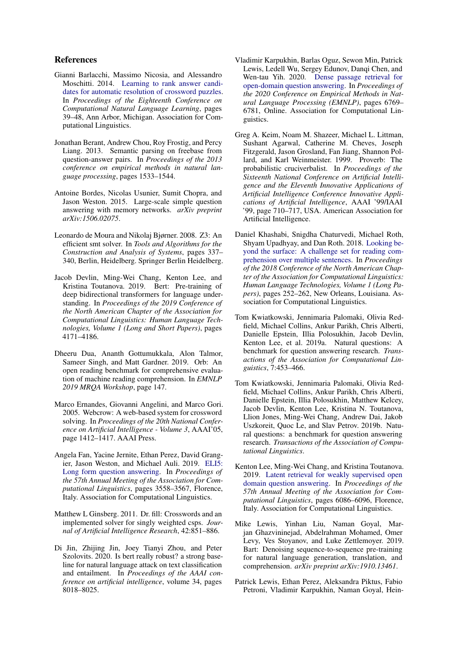# References

- <span id="page-9-7"></span>Gianni Barlacchi, Massimo Nicosia, and Alessandro Moschitti. 2014. [Learning to rank answer candi](https://doi.org/10.3115/v1/W14-1605)[dates for automatic resolution of crossword puzzles.](https://doi.org/10.3115/v1/W14-1605) In *Proceedings of the Eighteenth Conference on Computational Natural Language Learning*, pages 39–48, Ann Arbor, Michigan. Association for Computational Linguistics.
- <span id="page-9-3"></span>Jonathan Berant, Andrew Chou, Roy Frostig, and Percy Liang. 2013. Semantic parsing on freebase from question-answer pairs. In *Proceedings of the 2013 conference on empirical methods in natural language processing*, pages 1533–1544.
- <span id="page-9-4"></span>Antoine Bordes, Nicolas Usunier, Sumit Chopra, and Jason Weston. 2015. Large-scale simple question answering with memory networks. *arXiv preprint arXiv:1506.02075*.
- <span id="page-9-16"></span>Leonardo de Moura and Nikolaj Bjørner. 2008. Z3: An efficient smt solver. In *Tools and Algorithms for the Construction and Analysis of Systems*, pages 337– 340, Berlin, Heidelberg. Springer Berlin Heidelberg.
- <span id="page-9-8"></span>Jacob Devlin, Ming-Wei Chang, Kenton Lee, and Kristina Toutanova. 2019. Bert: Pre-training of deep bidirectional transformers for language understanding. In *Proceedings of the 2019 Conference of the North American Chapter of the Association for Computational Linguistics: Human Language Technologies, Volume 1 (Long and Short Papers)*, pages 4171–4186.
- <span id="page-9-2"></span>Dheeru Dua, Ananth Gottumukkala, Alon Talmor, Sameer Singh, and Matt Gardner. 2019. Orb: An open reading benchmark for comprehensive evaluation of machine reading comprehension. In *EMNLP 2019 MRQA Workshop*, page 147.
- <span id="page-9-5"></span>Marco Ernandes, Giovanni Angelini, and Marco Gori. 2005. Webcrow: A web-based system for crossword solving. In *Proceedings of the 20th National Conference on Artificial Intelligence - Volume 3*, AAAI'05, page 1412–1417. AAAI Press.
- <span id="page-9-10"></span>Angela Fan, Yacine Jernite, Ethan Perez, David Grangier, Jason Weston, and Michael Auli. 2019. [ELI5:](https://doi.org/10.18653/v1/P19-1346) [Long form question answering.](https://doi.org/10.18653/v1/P19-1346) In *Proceedings of the 57th Annual Meeting of the Association for Computational Linguistics*, pages 3558–3567, Florence, Italy. Association for Computational Linguistics.
- <span id="page-9-6"></span>Matthew L Ginsberg. 2011. Dr. fill: Crosswords and an implemented solver for singly weighted csps. *Journal of Artificial Intelligence Research*, 42:851–886.
- <span id="page-9-0"></span>Di Jin, Zhijing Jin, Joey Tianyi Zhou, and Peter Szolovits. 2020. Is bert really robust? a strong baseline for natural language attack on text classification and entailment. In *Proceedings of the AAAI conference on artificial intelligence*, volume 34, pages 8018–8025.
- <span id="page-9-13"></span>Vladimir Karpukhin, Barlas Oguz, Sewon Min, Patrick Lewis, Ledell Wu, Sergey Edunov, Danqi Chen, and Wen-tau Yih. 2020. [Dense passage retrieval for](https://doi.org/10.18653/v1/2020.emnlp-main.550) [open-domain question answering.](https://doi.org/10.18653/v1/2020.emnlp-main.550) In *Proceedings of the 2020 Conference on Empirical Methods in Natural Language Processing (EMNLP)*, pages 6769– 6781, Online. Association for Computational Linguistics.
- <span id="page-9-17"></span>Greg A. Keim, Noam M. Shazeer, Michael L. Littman, Sushant Agarwal, Catherine M. Cheves, Joseph Fitzgerald, Jason Grosland, Fan Jiang, Shannon Pollard, and Karl Weinmeister. 1999. Proverb: The probabilistic cruciverbalist. In *Proceedings of the Sixteenth National Conference on Artificial Intelligence and the Eleventh Innovative Applications of Artificial Intelligence Conference Innovative Applications of Artificial Intelligence*, AAAI '99/IAAI '99, page 710–717, USA. American Association for Artificial Intelligence.
- <span id="page-9-11"></span>Daniel Khashabi, Snigdha Chaturvedi, Michael Roth, Shyam Upadhyay, and Dan Roth. 2018. [Looking be](https://doi.org/10.18653/v1/N18-1023)[yond the surface: A challenge set for reading com](https://doi.org/10.18653/v1/N18-1023)[prehension over multiple sentences.](https://doi.org/10.18653/v1/N18-1023) In *Proceedings of the 2018 Conference of the North American Chapter of the Association for Computational Linguistics: Human Language Technologies, Volume 1 (Long Papers)*, pages 252–262, New Orleans, Louisiana. Association for Computational Linguistics.
- <span id="page-9-1"></span>Tom Kwiatkowski, Jennimaria Palomaki, Olivia Redfield, Michael Collins, Ankur Parikh, Chris Alberti, Danielle Epstein, Illia Polosukhin, Jacob Devlin, Kenton Lee, et al. 2019a. Natural questions: A benchmark for question answering research. *Transactions of the Association for Computational Linguistics*, 7:453–466.
- <span id="page-9-15"></span>Tom Kwiatkowski, Jennimaria Palomaki, Olivia Redfield, Michael Collins, Ankur Parikh, Chris Alberti, Danielle Epstein, Illia Polosukhin, Matthew Kelcey, Jacob Devlin, Kenton Lee, Kristina N. Toutanova, Llion Jones, Ming-Wei Chang, Andrew Dai, Jakob Uszkoreit, Quoc Le, and Slav Petrov. 2019b. Natural questions: a benchmark for question answering research. *Transactions of the Association of Computational Linguistics*.
- <span id="page-9-14"></span>Kenton Lee, Ming-Wei Chang, and Kristina Toutanova. 2019. [Latent retrieval for weakly supervised open](https://doi.org/10.18653/v1/P19-1612) [domain question answering.](https://doi.org/10.18653/v1/P19-1612) In *Proceedings of the 57th Annual Meeting of the Association for Computational Linguistics*, pages 6086–6096, Florence, Italy. Association for Computational Linguistics.
- <span id="page-9-9"></span>Mike Lewis, Yinhan Liu, Naman Goyal, Marjan Ghazvininejad, Abdelrahman Mohamed, Omer Levy, Ves Stoyanov, and Luke Zettlemoyer. 2019. Bart: Denoising sequence-to-sequence pre-training for natural language generation, translation, and comprehension. *arXiv preprint arXiv:1910.13461*.
- <span id="page-9-12"></span>Patrick Lewis, Ethan Perez, Aleksandra Piktus, Fabio Petroni, Vladimir Karpukhin, Naman Goyal, Hein-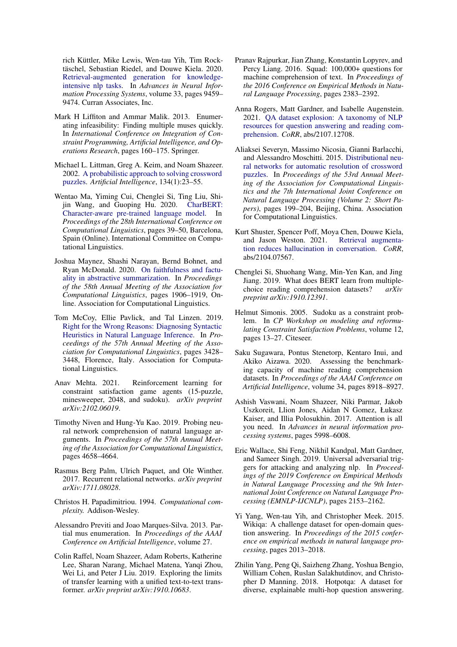rich Küttler, Mike Lewis, Wen-tau Yih, Tim Rocktäschel, Sebastian Riedel, and Douwe Kiela. 2020. [Retrieval-augmented generation for knowledge](https://proceedings.neurips.cc/paper/2020/file/6b493230205f780e1bc26945df7481e5-Paper.pdf)[intensive nlp tasks.](https://proceedings.neurips.cc/paper/2020/file/6b493230205f780e1bc26945df7481e5-Paper.pdf) In *Advances in Neural Information Processing Systems*, volume 33, pages 9459– 9474. Curran Associates, Inc.

- <span id="page-10-21"></span>Mark H Liffiton and Ammar Malik. 2013. Enumerating infeasibility: Finding multiple muses quickly. In *International Conference on Integration of Constraint Programming, Artificial Intelligence, and Operations Research*, pages 160–175. Springer.
- <span id="page-10-12"></span>Michael L. Littman, Greg A. Keim, and Noam Shazeer. 2002. [A probabilistic approach to solving crossword](https://doi.org/https://doi.org/10.1016/S0004-3702(01)00114-X) [puzzles.](https://doi.org/https://doi.org/10.1016/S0004-3702(01)00114-X) *Artificial Intelligence*, 134(1):23–55.
- <span id="page-10-18"></span>Wentao Ma, Yiming Cui, Chenglei Si, Ting Liu, Shijin Wang, and Guoping Hu. 2020. [CharBERT:](https://doi.org/10.18653/v1/2020.coling-main.4) [Character-aware pre-trained language model.](https://doi.org/10.18653/v1/2020.coling-main.4) In *Proceedings of the 28th International Conference on Computational Linguistics*, pages 39–50, Barcelona, Spain (Online). International Committee on Computational Linguistics.
- <span id="page-10-15"></span>Joshua Maynez, Shashi Narayan, Bernd Bohnet, and Ryan McDonald. 2020. [On faithfulness and factu](https://doi.org/10.18653/v1/2020.acl-main.173)[ality in abstractive summarization.](https://doi.org/10.18653/v1/2020.acl-main.173) In *Proceedings of the 58th Annual Meeting of the Association for Computational Linguistics*, pages 1906–1919, Online. Association for Computational Linguistics.
- <span id="page-10-1"></span>Tom McCoy, Ellie Pavlick, and Tal Linzen. 2019. [Right for the Wrong Reasons: Diagnosing Syntactic](https://doi.org/10.18653/v1/P19-1334) [Heuristics in Natural Language Inference.](https://doi.org/10.18653/v1/P19-1334) In *Proceedings of the 57th Annual Meeting of the Association for Computational Linguistics*, pages 3428– 3448, Florence, Italy. Association for Computational Linguistics.
- <span id="page-10-10"></span>Anav Mehta. 2021. Reinforcement learning for constraint satisfaction game agents (15-puzzle, minesweeper, 2048, and sudoku). *arXiv preprint arXiv:2102.06019*.
- <span id="page-10-4"></span>Timothy Niven and Hung-Yu Kao. 2019. Probing neural network comprehension of natural language arguments. In *Proceedings of the 57th Annual Meeting of the Association for Computational Linguistics*, pages 4658–4664.
- <span id="page-10-11"></span>Rasmus Berg Palm, Ulrich Paquet, and Ole Winther. 2017. Recurrent relational networks. *arXiv preprint arXiv:1711.08028*.
- <span id="page-10-19"></span>Christos H. Papadimitriou. 1994. *Computational complexity.* Addison-Wesley.
- <span id="page-10-20"></span>Alessandro Previti and Joao Marques-Silva. 2013. Partial mus enumeration. In *Proceedings of the AAAI Conference on Artificial Intelligence*, volume 27.
- <span id="page-10-14"></span>Colin Raffel, Noam Shazeer, Adam Roberts, Katherine Lee, Sharan Narang, Michael Matena, Yanqi Zhou, Wei Li, and Peter J Liu. 2019. Exploring the limits of transfer learning with a unified text-to-text transformer. *arXiv preprint arXiv:1910.10683*.
- <span id="page-10-6"></span>Pranav Rajpurkar, Jian Zhang, Konstantin Lopyrev, and Percy Liang. 2016. Squad: 100,000+ questions for machine comprehension of text. In *Proceedings of the 2016 Conference on Empirical Methods in Natural Language Processing*, pages 2383–2392.
- <span id="page-10-7"></span>Anna Rogers, Matt Gardner, and Isabelle Augenstein. 2021. [QA dataset explosion: A taxonomy of NLP](http://arxiv.org/abs/2107.12708) [resources for question answering and reading com](http://arxiv.org/abs/2107.12708)[prehension.](http://arxiv.org/abs/2107.12708) *CoRR*, abs/2107.12708.
- <span id="page-10-13"></span>Aliaksei Severyn, Massimo Nicosia, Gianni Barlacchi, and Alessandro Moschitti. 2015. [Distributional neu](https://doi.org/10.3115/v1/P15-2033)[ral networks for automatic resolution of crossword](https://doi.org/10.3115/v1/P15-2033) [puzzles.](https://doi.org/10.3115/v1/P15-2033) In *Proceedings of the 53rd Annual Meeting of the Association for Computational Linguistics and the 7th International Joint Conference on Natural Language Processing (Volume 2: Short Papers)*, pages 199–204, Beijing, China. Association for Computational Linguistics.
- <span id="page-10-17"></span>Kurt Shuster, Spencer Poff, Moya Chen, Douwe Kiela, and Jason Weston. 2021. [Retrieval augmenta](http://arxiv.org/abs/2104.07567)[tion reduces hallucination in conversation.](http://arxiv.org/abs/2104.07567) *CoRR*, abs/2104.07567.
- <span id="page-10-2"></span>Chenglei Si, Shuohang Wang, Min-Yen Kan, and Jing Jiang. 2019. What does BERT learn from multiplechoice reading comprehension datasets? *arXiv preprint arXiv:1910.12391*.
- <span id="page-10-9"></span>Helmut Simonis. 2005. Sudoku as a constraint problem. In *CP Workshop on modeling and reformulating Constraint Satisfaction Problems*, volume 12, pages 13–27. Citeseer.
- <span id="page-10-3"></span>Saku Sugawara, Pontus Stenetorp, Kentaro Inui, and Akiko Aizawa. 2020. Assessing the benchmarking capacity of machine reading comprehension datasets. In *Proceedings of the AAAI Conference on Artificial Intelligence*, volume 34, pages 8918–8927.
- <span id="page-10-16"></span>Ashish Vaswani, Noam Shazeer, Niki Parmar, Jakob Uszkoreit, Llion Jones, Aidan N Gomez, Łukasz Kaiser, and Illia Polosukhin. 2017. Attention is all you need. In *Advances in neural information processing systems*, pages 5998–6008.
- <span id="page-10-0"></span>Eric Wallace, Shi Feng, Nikhil Kandpal, Matt Gardner, and Sameer Singh. 2019. Universal adversarial triggers for attacking and analyzing nlp. In *Proceedings of the 2019 Conference on Empirical Methods in Natural Language Processing and the 9th International Joint Conference on Natural Language Processing (EMNLP-IJCNLP)*, pages 2153–2162.
- <span id="page-10-8"></span>Yi Yang, Wen-tau Yih, and Christopher Meek. 2015. Wikiqa: A challenge dataset for open-domain question answering. In *Proceedings of the 2015 conference on empirical methods in natural language processing*, pages 2013–2018.
- <span id="page-10-5"></span>Zhilin Yang, Peng Qi, Saizheng Zhang, Yoshua Bengio, William Cohen, Ruslan Salakhutdinov, and Christopher D Manning. 2018. Hotpotqa: A dataset for diverse, explainable multi-hop question answering.